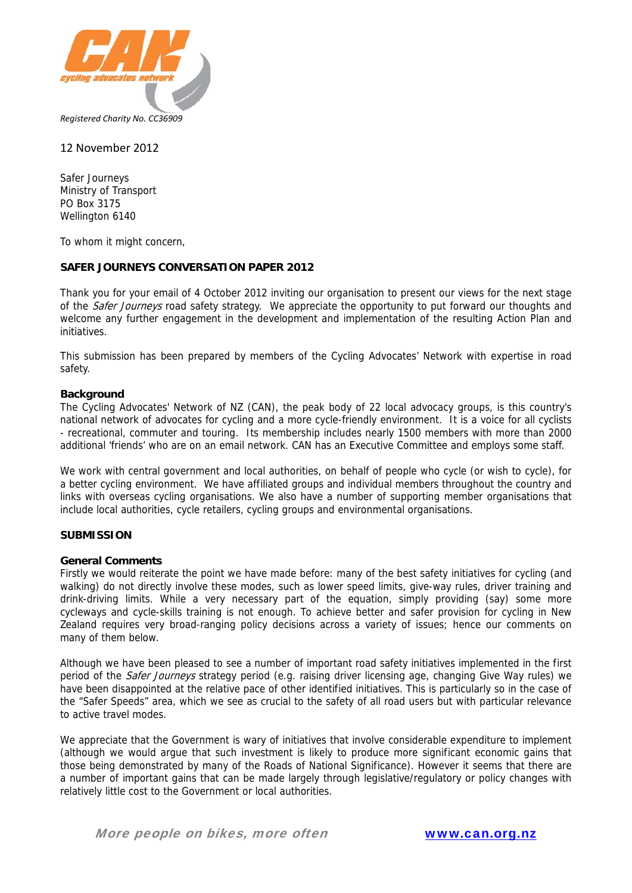

### 12 November 2012

Safer Journeys Ministry of Transport PO Box 3175 Wellington 6140

To whom it might concern,

## **SAFER JOURNEYS CONVERSATION PAPER 2012**

Thank you for your email of 4 October 2012 inviting our organisation to present our views for the next stage of the *Safer Journeys* road safety strategy. We appreciate the opportunity to put forward our thoughts and welcome any further engagement in the development and implementation of the resulting Action Plan and initiatives.

This submission has been prepared by members of the Cycling Advocates' Network with expertise in road safety.

### **Background**

The Cycling Advocates' Network of NZ (CAN), the peak body of 22 local advocacy groups, is this country's national network of advocates for cycling and a more cycle-friendly environment. It is a voice for all cyclists - recreational, commuter and touring. Its membership includes nearly 1500 members with more than 2000 additional 'friends' who are on an email network. CAN has an Executive Committee and employs some staff.

We work with central government and local authorities, on behalf of people who cycle (or wish to cycle), for a better cycling environment. We have affiliated groups and individual members throughout the country and links with overseas cycling organisations. We also have a number of supporting member organisations that include local authorities, cycle retailers, cycling groups and environmental organisations.

#### **SUBMISSION**

#### **General Comments**

Firstly we would reiterate the point we have made before: many of the best safety initiatives for cycling (and walking) do not directly involve these modes, such as lower speed limits, give-way rules, driver training and drink-driving limits. While a very necessary part of the equation, simply providing (say) some more cycleways and cycle-skills training is not enough. To achieve better and safer provision for cycling in New Zealand requires very broad-ranging policy decisions across a variety of issues; hence our comments on many of them below.

Although we have been pleased to see a number of important road safety initiatives implemented in the first period of the *Safer Journeys* strategy period (e.g. raising driver licensing age, changing Give Way rules) we have been disappointed at the relative pace of other identified initiatives. This is particularly so in the case of the "Safer Speeds" area, which we see as crucial to the safety of all road users but with particular relevance to active travel modes.

We appreciate that the Government is wary of initiatives that involve considerable expenditure to implement (although we would argue that such investment is likely to produce more significant economic gains that those being demonstrated by many of the Roads of National Significance). However it seems that there are a number of important gains that can be made largely through legislative/regulatory or policy changes with relatively little cost to the Government or local authorities.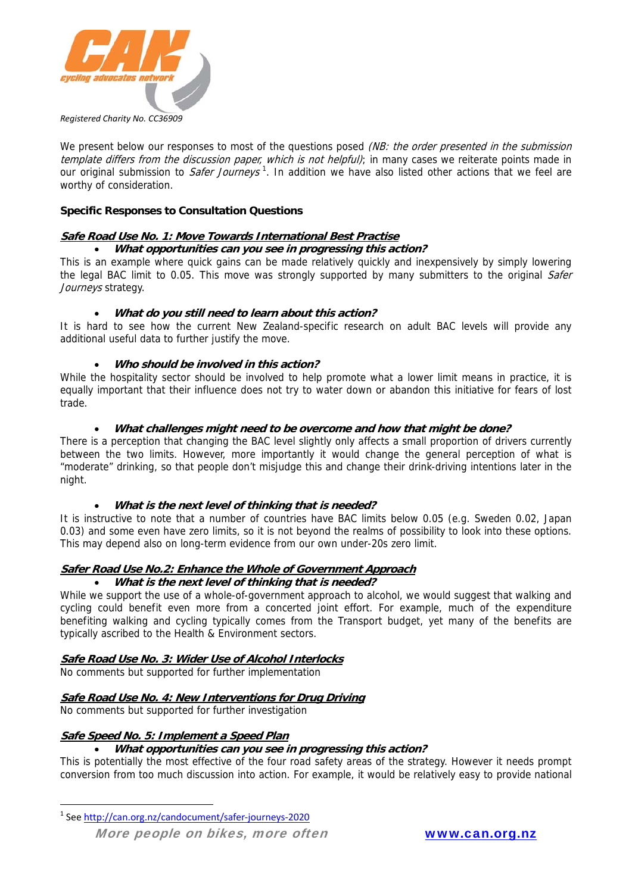

We present below our responses to most of the questions posed (NB: the order presented in the submission template differs from the discussion paper, which is not helpful); in many cases we reiterate points made in our original submission to *Safer Journeys*<sup>1</sup>. In addition we have also listed other actions that we feel are worthy of consideration.

## **Specific Responses to Consultation Questions**

## **Safe Road Use No. 1: Move Towards International Best Practise**

### **What opportunities can you see in progressing this action?**

This is an example where quick gains can be made relatively quickly and inexpensively by simply lowering the legal BAC limit to 0.05. This move was strongly supported by many submitters to the original Safer Journeys strategy.

## **What do you still need to learn about this action?**

It is hard to see how the current New Zealand-specific research on adult BAC levels will provide any additional useful data to further justify the move.

## **Who should be involved in this action?**

While the hospitality sector should be involved to help promote what a lower limit means in practice, it is equally important that their influence does not try to water down or abandon this initiative for fears of lost trade.

## **What challenges might need to be overcome and how that might be done?**

There is a perception that changing the BAC level slightly only affects a small proportion of drivers currently between the two limits. However, more importantly it would change the general perception of what is "moderate" drinking, so that people don't misjudge this and change their drink-driving intentions later in the night.

### **What is the next level of thinking that is needed?**

It is instructive to note that a number of countries have BAC limits below 0.05 (e.g. Sweden 0.02, Japan 0.03) and some even have zero limits, so it is not beyond the realms of possibility to look into these options. This may depend also on long-term evidence from our own under-20s zero limit.

# **Safer Road Use No.2: Enhance the Whole of Government Approach**

## **What is the next level of thinking that is needed?**

While we support the use of a whole-of-government approach to alcohol, we would suggest that walking and cycling could benefit even more from a concerted joint effort. For example, much of the expenditure benefiting walking and cycling typically comes from the Transport budget, yet many of the benefits are typically ascribed to the Health & Environment sectors.

### **Safe Road Use No. 3: Wider Use of Alcohol Interlocks**

No comments but supported for further implementation

### **Safe Road Use No. 4: New Interventions for Drug Driving**

No comments but supported for further investigation

### **Safe Speed No. 5: Implement a Speed Plan**

<u> 1989 - Johann Barn, mars eta inperiodo</u>

### **What opportunities can you see in progressing this action?**

This is potentially the most effective of the four road safety areas of the strategy. However it needs prompt conversion from too much discussion into action. For example, it would be relatively easy to provide national

<sup>1</sup> See http://can.org.nz/candocument/safer‐journeys‐2020

More people on bikes, more often www.can.org.nz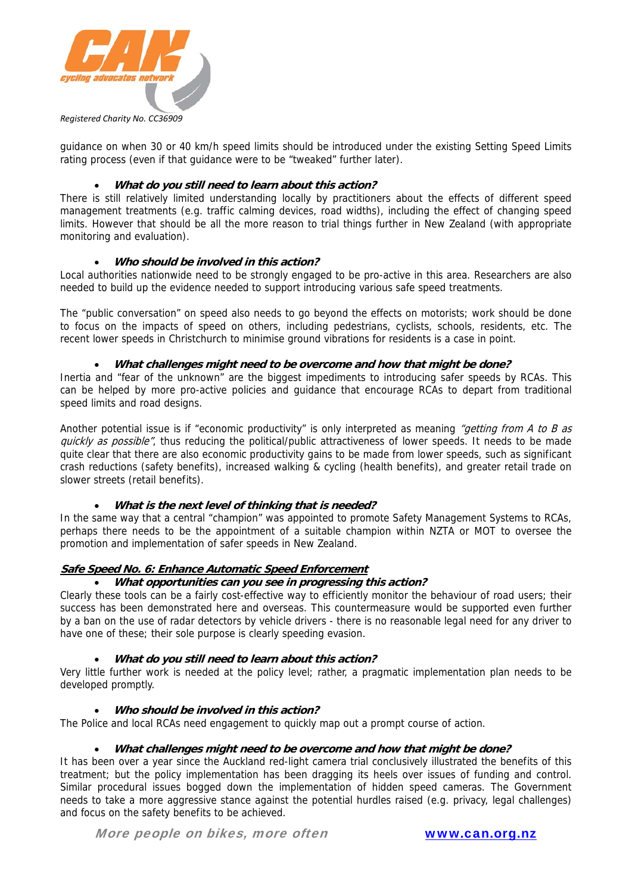

guidance on when 30 or 40 km/h speed limits should be introduced under the existing Setting Speed Limits rating process (even if that guidance were to be "tweaked" further later).

# **What do you still need to learn about this action?**

There is still relatively limited understanding locally by practitioners about the effects of different speed management treatments (e.g. traffic calming devices, road widths), including the effect of changing speed limits. However that should be all the more reason to trial things further in New Zealand (with appropriate monitoring and evaluation).

# **Who should be involved in this action?**

Local authorities nationwide need to be strongly engaged to be pro-active in this area. Researchers are also needed to build up the evidence needed to support introducing various safe speed treatments.

The "public conversation" on speed also needs to go beyond the effects on motorists; work should be done to focus on the impacts of speed on others, including pedestrians, cyclists, schools, residents, etc. The recent lower speeds in Christchurch to minimise ground vibrations for residents is a case in point.

## **What challenges might need to be overcome and how that might be done?**

Inertia and "fear of the unknown" are the biggest impediments to introducing safer speeds by RCAs. This can be helped by more pro-active policies and guidance that encourage RCAs to depart from traditional speed limits and road designs.

Another potential issue is if "economic productivity" is only interpreted as meaning "getting from A to B as quickly as possible", thus reducing the political/public attractiveness of lower speeds. It needs to be made quite clear that there are also economic productivity gains to be made from lower speeds, such as significant crash reductions (safety benefits), increased walking & cycling (health benefits), and greater retail trade on slower streets (retail benefits).

# **What is the next level of thinking that is needed?**

In the same way that a central "champion" was appointed to promote Safety Management Systems to RCAs, perhaps there needs to be the appointment of a suitable champion within NZTA or MOT to oversee the promotion and implementation of safer speeds in New Zealand.

# **Safe Speed No. 6: Enhance Automatic Speed Enforcement**

### **What opportunities can you see in progressing this action?**

Clearly these tools can be a fairly cost-effective way to efficiently monitor the behaviour of road users; their success has been demonstrated here and overseas. This countermeasure would be supported even further by a ban on the use of radar detectors by vehicle drivers - there is no reasonable legal need for any driver to have one of these; their sole purpose is clearly speeding evasion.

### **What do you still need to learn about this action?**

Very little further work is needed at the policy level; rather, a pragmatic implementation plan needs to be developed promptly.

### **Who should be involved in this action?**

The Police and local RCAs need engagement to quickly map out a prompt course of action.

### **What challenges might need to be overcome and how that might be done?**

It has been over a year since the Auckland red-light camera trial conclusively illustrated the benefits of this treatment; but the policy implementation has been dragging its heels over issues of funding and control. Similar procedural issues bogged down the implementation of hidden speed cameras. The Government needs to take a more aggressive stance against the potential hurdles raised (e.g. privacy, legal challenges) and focus on the safety benefits to be achieved.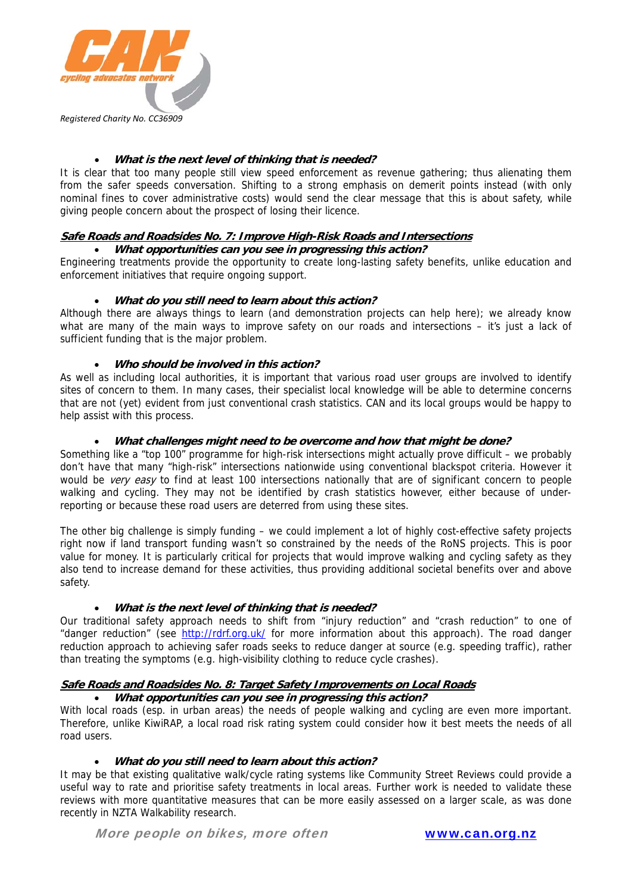

# **What is the next level of thinking that is needed?**

It is clear that too many people still view speed enforcement as revenue gathering; thus alienating them from the safer speeds conversation. Shifting to a strong emphasis on demerit points instead (with only nominal fines to cover administrative costs) would send the clear message that this is about safety, while giving people concern about the prospect of losing their licence.

## **Safe Roads and Roadsides No. 7: Improve High-Risk Roads and Intersections**

**What opportunities can you see in progressing this action?** 

Engineering treatments provide the opportunity to create long-lasting safety benefits, unlike education and enforcement initiatives that require ongoing support.

## **What do you still need to learn about this action?**

Although there are always things to learn (and demonstration projects can help here); we already know what are many of the main ways to improve safety on our roads and intersections - it's just a lack of sufficient funding that is the major problem.

## **Who should be involved in this action?**

As well as including local authorities, it is important that various road user groups are involved to identify sites of concern to them. In many cases, their specialist local knowledge will be able to determine concerns that are not (yet) evident from just conventional crash statistics. CAN and its local groups would be happy to help assist with this process.

## **What challenges might need to be overcome and how that might be done?**

Something like a "top 100" programme for high-risk intersections might actually prove difficult – we probably don't have that many "high-risk" intersections nationwide using conventional blackspot criteria. However it would be *very easy* to find at least 100 intersections nationally that are of significant concern to people walking and cycling. They may not be identified by crash statistics however, either because of underreporting or because these road users are deterred from using these sites.

The other big challenge is simply funding – we could implement a lot of highly cost-effective safety projects right now if land transport funding wasn't so constrained by the needs of the RoNS projects. This is poor value for money. It is particularly critical for projects that would improve walking and cycling safety as they also tend to increase demand for these activities, thus providing additional societal benefits over and above safety.

# **What is the next level of thinking that is needed?**

Our traditional safety approach needs to shift from "injury reduction" and "crash reduction" to one of "danger reduction" (see http://rdrf.org.uk/ for more information about this approach). The road danger reduction approach to achieving safer roads seeks to reduce danger at source (e.g. speeding traffic), rather than treating the symptoms (e.g. high-visibility clothing to reduce cycle crashes).

### **Safe Roads and Roadsides No. 8: Target Safety Improvements on Local Roads**

### **What opportunities can you see in progressing this action?**

With local roads (esp. in urban areas) the needs of people walking and cycling are even more important. Therefore, unlike KiwiRAP, a local road risk rating system could consider how it best meets the needs of all road users.

### **What do you still need to learn about this action?**

It may be that existing qualitative walk/cycle rating systems like Community Street Reviews could provide a useful way to rate and prioritise safety treatments in local areas. Further work is needed to validate these reviews with more quantitative measures that can be more easily assessed on a larger scale, as was done recently in NZTA Walkability research.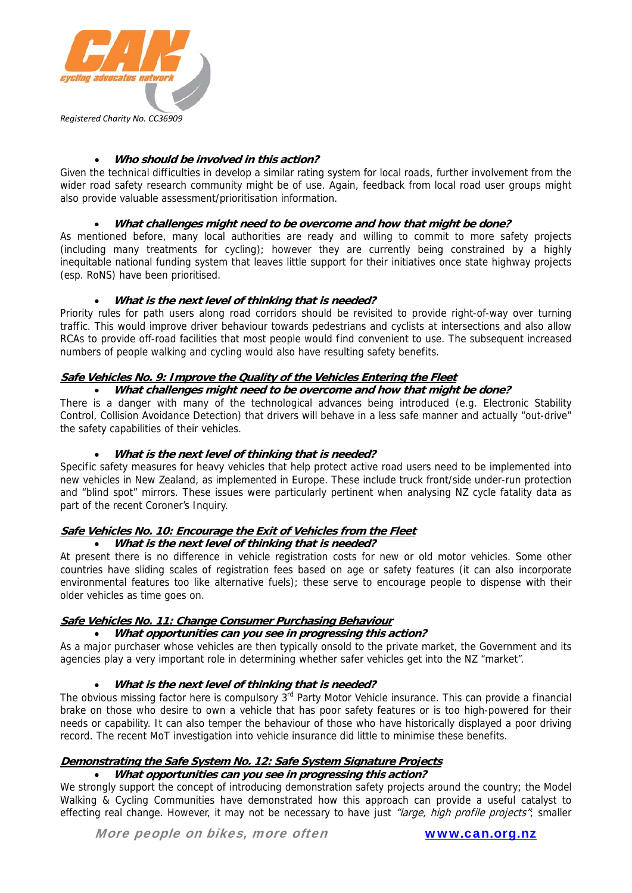

# **Who should be involved in this action?**

Given the technical difficulties in develop a similar rating system for local roads, further involvement from the wider road safety research community might be of use. Again, feedback from local road user groups might also provide valuable assessment/prioritisation information.

### **What challenges might need to be overcome and how that might be done?**

As mentioned before, many local authorities are ready and willing to commit to more safety projects (including many treatments for cycling); however they are currently being constrained by a highly inequitable national funding system that leaves little support for their initiatives once state highway projects (esp. RoNS) have been prioritised.

## **What is the next level of thinking that is needed?**

Priority rules for path users along road corridors should be revisited to provide right-of-way over turning traffic. This would improve driver behaviour towards pedestrians and cyclists at intersections and also allow RCAs to provide off-road facilities that most people would find convenient to use. The subsequent increased numbers of people walking and cycling would also have resulting safety benefits.

## **Safe Vehicles No. 9: Improve the Quality of the Vehicles Entering the Fleet**

## **What challenges might need to be overcome and how that might be done?**

There is a danger with many of the technological advances being introduced (e.g. Electronic Stability Control, Collision Avoidance Detection) that drivers will behave in a less safe manner and actually "out-drive" the safety capabilities of their vehicles.

### **What is the next level of thinking that is needed?**

Specific safety measures for heavy vehicles that help protect active road users need to be implemented into new vehicles in New Zealand, as implemented in Europe. These include truck front/side under-run protection and "blind spot" mirrors. These issues were particularly pertinent when analysing NZ cycle fatality data as part of the recent Coroner's Inquiry.

### **Safe Vehicles No. 10: Encourage the Exit of Vehicles from the Fleet**

### **What is the next level of thinking that is needed?**

At present there is no difference in vehicle registration costs for new or old motor vehicles. Some other countries have sliding scales of registration fees based on age or safety features (it can also incorporate environmental features too like alternative fuels); these serve to encourage people to dispense with their older vehicles as time goes on.

# **Safe Vehicles No. 11: Change Consumer Purchasing Behaviour**

### **What opportunities can you see in progressing this action?**

As a major purchaser whose vehicles are then typically onsold to the private market, the Government and its agencies play a very important role in determining whether safer vehicles get into the NZ "market".

# **What is the next level of thinking that is needed?**

The obvious missing factor here is compulsory 3<sup>rd</sup> Party Motor Vehicle insurance. This can provide a financial brake on those who desire to own a vehicle that has poor safety features or is too high-powered for their needs or capability. It can also temper the behaviour of those who have historically displayed a poor driving record. The recent MoT investigation into vehicle insurance did little to minimise these benefits.

# **Demonstrating the Safe System No. 12: Safe System Signature Projects**

### **What opportunities can you see in progressing this action?**

We strongly support the concept of introducing demonstration safety projects around the country; the Model Walking & Cycling Communities have demonstrated how this approach can provide a useful catalyst to effecting real change. However, it may not be necessary to have just "large, high profile projects"; smaller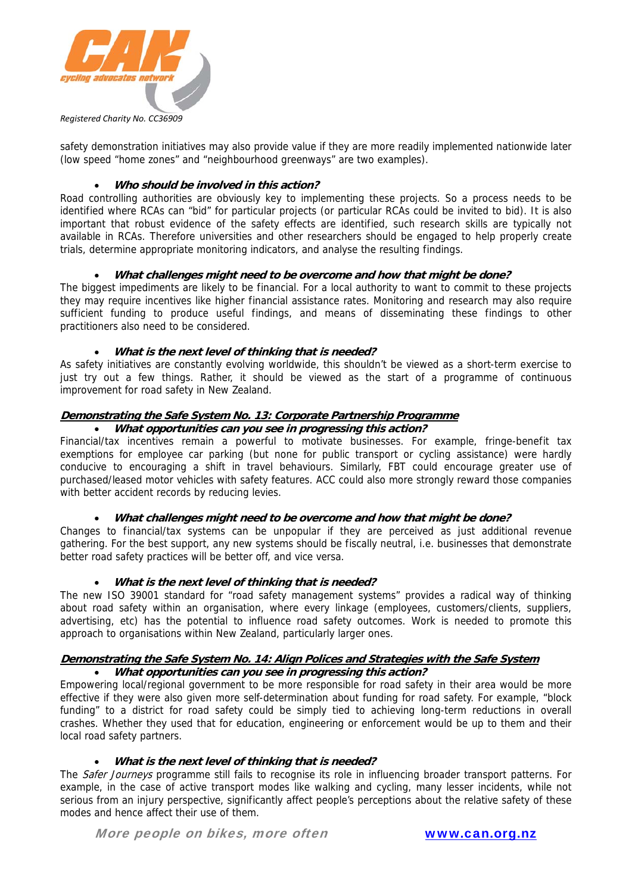

safety demonstration initiatives may also provide value if they are more readily implemented nationwide later (low speed "home zones" and "neighbourhood greenways" are two examples).

## **Who should be involved in this action?**

Road controlling authorities are obviously key to implementing these projects. So a process needs to be identified where RCAs can "bid" for particular projects (or particular RCAs could be invited to bid). It is also important that robust evidence of the safety effects are identified, such research skills are typically not available in RCAs. Therefore universities and other researchers should be engaged to help properly create trials, determine appropriate monitoring indicators, and analyse the resulting findings.

## **What challenges might need to be overcome and how that might be done?**

The biggest impediments are likely to be financial. For a local authority to want to commit to these projects they may require incentives like higher financial assistance rates. Monitoring and research may also require sufficient funding to produce useful findings, and means of disseminating these findings to other practitioners also need to be considered.

## **What is the next level of thinking that is needed?**

As safety initiatives are constantly evolving worldwide, this shouldn't be viewed as a short-term exercise to just try out a few things. Rather, it should be viewed as the start of a programme of continuous improvement for road safety in New Zealand.

# **Demonstrating the Safe System No. 13: Corporate Partnership Programme**

### **What opportunities can you see in progressing this action?**

Financial/tax incentives remain a powerful to motivate businesses. For example, fringe-benefit tax exemptions for employee car parking (but none for public transport or cycling assistance) were hardly conducive to encouraging a shift in travel behaviours. Similarly, FBT could encourage greater use of purchased/leased motor vehicles with safety features. ACC could also more strongly reward those companies with better accident records by reducing levies.

### **What challenges might need to be overcome and how that might be done?**

Changes to financial/tax systems can be unpopular if they are perceived as just additional revenue gathering. For the best support, any new systems should be fiscally neutral, i.e. businesses that demonstrate better road safety practices will be better off, and vice versa.

### **What is the next level of thinking that is needed?**

The new ISO 39001 standard for "road safety management systems" provides a radical way of thinking about road safety within an organisation, where every linkage (employees, customers/clients, suppliers, advertising, etc) has the potential to influence road safety outcomes. Work is needed to promote this approach to organisations within New Zealand, particularly larger ones.

#### **Demonstrating the Safe System No. 14: Align Polices and Strategies with the Safe System What opportunities can you see in progressing this action?**

Empowering local/regional government to be more responsible for road safety in their area would be more effective if they were also given more self-determination about funding for road safety. For example, "block funding" to a district for road safety could be simply tied to achieving long-term reductions in overall crashes. Whether they used that for education, engineering or enforcement would be up to them and their local road safety partners.

### **What is the next level of thinking that is needed?**

The Safer Journeys programme still fails to recognise its role in influencing broader transport patterns. For example, in the case of active transport modes like walking and cycling, many lesser incidents, while not serious from an injury perspective, significantly affect people's perceptions about the relative safety of these modes and hence affect their use of them.